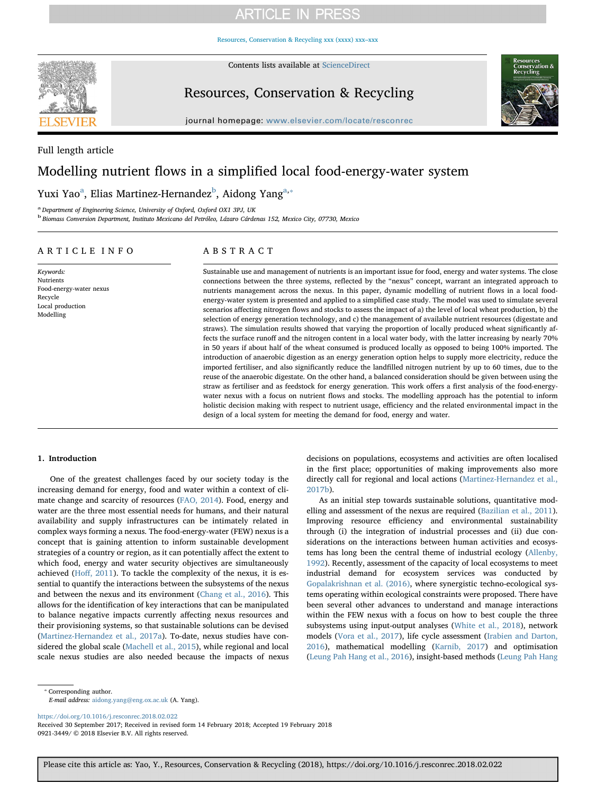# **ARTICLE IN PRESS**

[Resources, Conservation & Recycling xxx \(xxxx\) xxx–xxx](https://doi.org/10.1016/j.resconrec.2018.02.022)



Contents lists available at [ScienceDirect](http://www.sciencedirect.com/science/journal/09213449)

Resources, Conservation & Recycling



journal homepage: [www.elsevier.com/locate/resconrec](https://www.elsevier.com/locate/resconrec)

Full length article

## Modelling nutrient flows in a simplified local food-energy-water system

Yuxi Y[a](#page-0-0)o<sup>a</sup>, Elias Martinez-Hernandez<sup>[b](#page-0-1)</sup>, Aidong Yang<sup>a,</sup>\*

<span id="page-0-0"></span><sup>a</sup> Department of Engineering Science, University of Oxford, Oxford OX1 3PJ, UK

<span id="page-0-1"></span><sup>b</sup> Biomass Conversion Department, Instituto Mexicano del Petróleo, Lázaro Cárdenas 152, Mexico City, 07730, Mexico

### ARTICLE INFO

Keywords: Nutrients Food-energy-water nexus Recycle Local production Modelling

### ABSTRACT

Sustainable use and management of nutrients is an important issue for food, energy and water systems. The close connections between the three systems, reflected by the "nexus" concept, warrant an integrated approach to nutrients management across the nexus. In this paper, dynamic modelling of nutrient flows in a local foodenergy-water system is presented and applied to a simplified case study. The model was used to simulate several scenarios affecting nitrogen flows and stocks to assess the impact of a) the level of local wheat production, b) the selection of energy generation technology, and c) the management of available nutrient resources (digestate and straws). The simulation results showed that varying the proportion of locally produced wheat significantly affects the surface runoff and the nitrogen content in a local water body, with the latter increasing by nearly 70% in 50 years if about half of the wheat consumed is produced locally as opposed to being 100% imported. The introduction of anaerobic digestion as an energy generation option helps to supply more electricity, reduce the imported fertiliser, and also significantly reduce the landfilled nitrogen nutrient by up to 60 times, due to the reuse of the anaerobic digestate. On the other hand, a balanced consideration should be given between using the straw as fertiliser and as feedstock for energy generation. This work offers a first analysis of the food-energywater nexus with a focus on nutrient flows and stocks. The modelling approach has the potential to inform holistic decision making with respect to nutrient usage, efficiency and the related environmental impact in the design of a local system for meeting the demand for food, energy and water.

### 1. Introduction

One of the greatest challenges faced by our society today is the increasing demand for energy, food and water within a context of climate change and scarcity of resources ([FAO, 2014](#page--1-0)). Food, energy and water are the three most essential needs for humans, and their natural availability and supply infrastructures can be intimately related in complex ways forming a nexus. The food-energy-water (FEW) nexus is a concept that is gaining attention to inform sustainable development strategies of a country or region, as it can potentially affect the extent to which food, energy and water security objectives are simultaneously achieved (Hoff[, 2011](#page--1-1)). To tackle the complexity of the nexus, it is essential to quantify the interactions between the subsystems of the nexus and between the nexus and its environment ([Chang et al., 2016\)](#page--1-2). This allows for the identification of key interactions that can be manipulated to balance negative impacts currently affecting nexus resources and their provisioning systems, so that sustainable solutions can be devised ([Martinez-Hernandez et al., 2017a\)](#page--1-3). To-date, nexus studies have considered the global scale ([Machell et al., 2015\)](#page--1-4), while regional and local scale nexus studies are also needed because the impacts of nexus decisions on populations, ecosystems and activities are often localised in the first place; opportunities of making improvements also more directly call for regional and local actions ([Martinez-Hernandez et al.,](#page--1-5) [2017b\)](#page--1-5).

As an initial step towards sustainable solutions, quantitative modelling and assessment of the nexus are required ([Bazilian et al., 2011](#page--1-6)). Improving resource efficiency and environmental sustainability through (i) the integration of industrial processes and (ii) due considerations on the interactions between human activities and ecosystems has long been the central theme of industrial ecology [\(Allenby,](#page--1-7) [1992\)](#page--1-7). Recently, assessment of the capacity of local ecosystems to meet industrial demand for ecosystem services was conducted by [Gopalakrishnan et al. \(2016\),](#page--1-8) where synergistic techno-ecological systems operating within ecological constraints were proposed. There have been several other advances to understand and manage interactions within the FEW nexus with a focus on how to best couple the three subsystems using input-output analyses [\(White et al., 2018](#page--1-9)), network models ([Vora et al., 2017\)](#page--1-10), life cycle assessment ([Irabien and Darton,](#page--1-11) [2016\)](#page--1-11), mathematical modelling ([Karnib, 2017\)](#page--1-12) and optimisation ([Leung Pah Hang et al., 2016\)](#page--1-13), insight-based methods [\(Leung Pah Hang](#page--1-14)

E-mail address: [aidong.yang@eng.ox.ac.uk](mailto:aidong.yang@eng.ox.ac.uk) (A. Yang).

<https://doi.org/10.1016/j.resconrec.2018.02.022>

Received 30 September 2017; Received in revised form 14 February 2018; Accepted 19 February 2018 0921-3449/ © 2018 Elsevier B.V. All rights reserved.

<span id="page-0-2"></span><sup>⁎</sup> Corresponding author.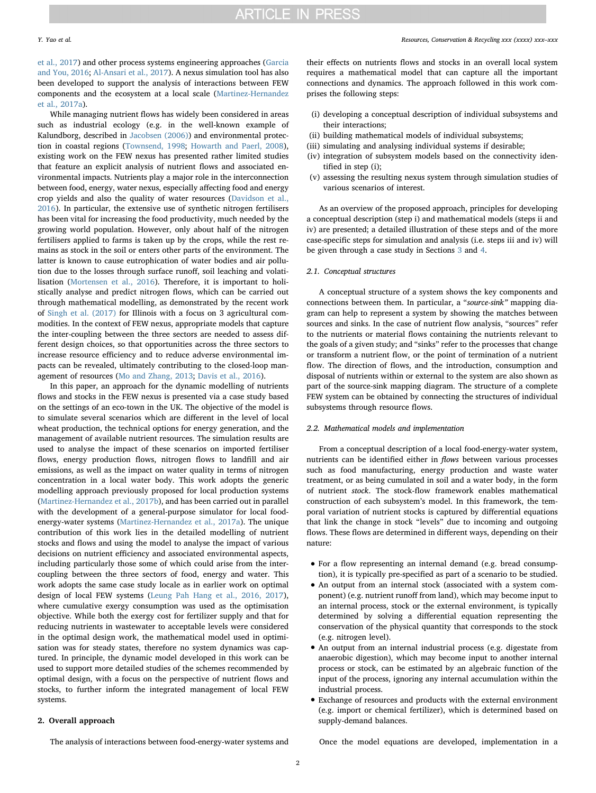[et al., 2017\)](#page--1-14) and other process systems engineering approaches ([Garcia](#page--1-15) [and You, 2016](#page--1-15); [Al-Ansari et al., 2017](#page--1-16)). A nexus simulation tool has also been developed to support the analysis of interactions between FEW components and the ecosystem at a local scale ([Martinez-Hernandez](#page--1-3) [et al., 2017a](#page--1-3)).

While managing nutrient flows has widely been considered in areas such as industrial ecology (e.g. in the well-known example of Kalundborg, described in [Jacobsen \(2006\)](#page--1-17)) and environmental protection in coastal regions [\(Townsend, 1998](#page--1-18); [Howarth and Paerl, 2008](#page--1-19)), existing work on the FEW nexus has presented rather limited studies that feature an explicit analysis of nutrient flows and associated environmental impacts. Nutrients play a major role in the interconnection between food, energy, water nexus, especially affecting food and energy crop yields and also the quality of water resources [\(Davidson et al.,](#page--1-20) [2016\)](#page--1-20). In particular, the extensive use of synthetic nitrogen fertilisers has been vital for increasing the food productivity, much needed by the growing world population. However, only about half of the nitrogen fertilisers applied to farms is taken up by the crops, while the rest remains as stock in the soil or enters other parts of the environment. The latter is known to cause eutrophication of water bodies and air pollution due to the losses through surface runoff, soil leaching and volatilisation [\(Mortensen et al., 2016\)](#page--1-21). Therefore, it is important to holistically analyse and predict nitrogen flows, which can be carried out through mathematical modelling, as demonstrated by the recent work of [Singh et al. \(2017\)](#page--1-22) for Illinois with a focus on 3 agricultural commodities. In the context of FEW nexus, appropriate models that capture the inter-coupling between the three sectors are needed to assess different design choices, so that opportunities across the three sectors to increase resource efficiency and to reduce adverse environmental impacts can be revealed, ultimately contributing to the closed-loop management of resources ([Mo and Zhang, 2013;](#page--1-23) [Davis et al., 2016\)](#page--1-24).

In this paper, an approach for the dynamic modelling of nutrients flows and stocks in the FEW nexus is presented via a case study based on the settings of an eco-town in the UK. The objective of the model is to simulate several scenarios which are different in the level of local wheat production, the technical options for energy generation, and the management of available nutrient resources. The simulation results are used to analyse the impact of these scenarios on imported fertiliser flows, energy production flows, nitrogen flows to landfill and air emissions, as well as the impact on water quality in terms of nitrogen concentration in a local water body. This work adopts the generic modelling approach previously proposed for local production systems ([Martinez-Hernandez et al., 2017b](#page--1-5)), and has been carried out in parallel with the development of a general-purpose simulator for local foodenergy-water systems ([Martinez-Hernandez et al., 2017a](#page--1-3)). The unique contribution of this work lies in the detailed modelling of nutrient stocks and flows and using the model to analyse the impact of various decisions on nutrient efficiency and associated environmental aspects, including particularly those some of which could arise from the intercoupling between the three sectors of food, energy and water. This work adopts the same case study locale as in earlier work on optimal design of local FEW systems ([Leung Pah Hang et al., 2016, 2017](#page--1-13)), where cumulative exergy consumption was used as the optimisation objective. While both the exergy cost for fertilizer supply and that for reducing nutrients in wastewater to acceptable levels were considered in the optimal design work, the mathematical model used in optimisation was for steady states, therefore no system dynamics was captured. In principle, the dynamic model developed in this work can be used to support more detailed studies of the schemes recommended by optimal design, with a focus on the perspective of nutrient flows and stocks, to further inform the integrated management of local FEW systems.

### 2. Overall approach

their effects on nutrients flows and stocks in an overall local system requires a mathematical model that can capture all the important connections and dynamics. The approach followed in this work comprises the following steps:

- (i) developing a conceptual description of individual subsystems and their interactions;
- (ii) building mathematical models of individual subsystems;
- (iii) simulating and analysing individual systems if desirable;
- (iv) integration of subsystem models based on the connectivity identified in step (i);
- (v) assessing the resulting nexus system through simulation studies of various scenarios of interest.

As an overview of the proposed approach, principles for developing a conceptual description (step i) and mathematical models (steps ii and iv) are presented; a detailed illustration of these steps and of the more case-specific steps for simulation and analysis (i.e. steps iii and iv) will be given through a case study in Sections [3](#page--1-25) and [4.](#page--1-26)

### 2.1. Conceptual structures

A conceptual structure of a system shows the key components and connections between them. In particular, a "source-sink" mapping diagram can help to represent a system by showing the matches between sources and sinks. In the case of nutrient flow analysis, "sources" refer to the nutrients or material flows containing the nutrients relevant to the goals of a given study; and "sinks" refer to the processes that change or transform a nutrient flow, or the point of termination of a nutrient flow. The direction of flows, and the introduction, consumption and disposal of nutrients within or external to the system are also shown as part of the source-sink mapping diagram. The structure of a complete FEW system can be obtained by connecting the structures of individual subsystems through resource flows.

### 2.2. Mathematical models and implementation

From a conceptual description of a local food-energy-water system, nutrients can be identified either in flows between various processes such as food manufacturing, energy production and waste water treatment, or as being cumulated in soil and a water body, in the form of nutrient stock. The stock-flow framework enables mathematical construction of each subsystem's model. In this framework, the temporal variation of nutrient stocks is captured by differential equations that link the change in stock "levels" due to incoming and outgoing flows. These flows are determined in different ways, depending on their nature:

- For a flow representing an internal demand (e.g. bread consumption), it is typically pre-specified as part of a scenario to be studied.
- An output from an internal stock (associated with a system component) (e.g. nutrient runoff from land), which may become input to an internal process, stock or the external environment, is typically determined by solving a differential equation representing the conservation of the physical quantity that corresponds to the stock (e.g. nitrogen level).
- An output from an internal industrial process (e.g. digestate from anaerobic digestion), which may become input to another internal process or stock, can be estimated by an algebraic function of the input of the process, ignoring any internal accumulation within the industrial process.
- Exchange of resources and products with the external environment (e.g. import or chemical fertilizer), which is determined based on supply-demand balances.

The analysis of interactions between food-energy-water systems and

Once the model equations are developed, implementation in a